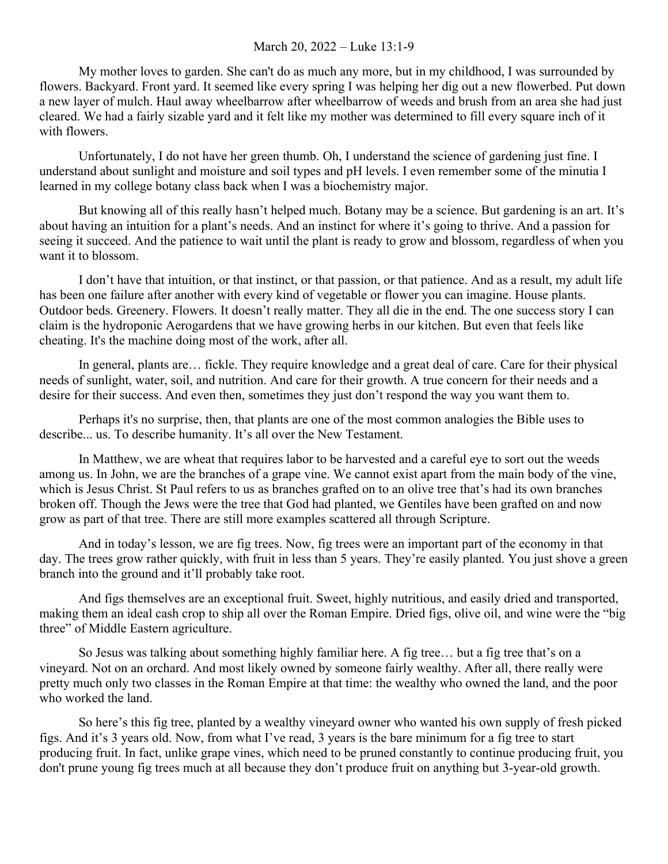## March 20, 2022 – Luke 13:1-9

My mother loves to garden. She can't do as much any more, but in my childhood, I was surrounded by flowers. Backyard. Front yard. It seemed like every spring I was helping her dig out a new flowerbed. Put down a new layer of mulch. Haul away wheelbarrow after wheelbarrow of weeds and brush from an area she had just cleared. We had a fairly sizable yard and it felt like my mother was determined to fill every square inch of it with flowers.

Unfortunately, I do not have her green thumb. Oh, I understand the science of gardening just fine. I understand about sunlight and moisture and soil types and pH levels. I even remember some of the minutia I learned in my college botany class back when I was a biochemistry major.

But knowing all of this really hasn't helped much. Botany may be a science. But gardening is an art. It's about having an intuition for a plant's needs. And an instinct for where it's going to thrive. And a passion for seeing it succeed. And the patience to wait until the plant is ready to grow and blossom, regardless of when you want it to blossom.

I don't have that intuition, or that instinct, or that passion, or that patience. And as a result, my adult life has been one failure after another with every kind of vegetable or flower you can imagine. House plants. Outdoor beds. Greenery. Flowers. It doesn't really matter. They all die in the end. The one success story I can claim is the hydroponic Aerogardens that we have growing herbs in our kitchen. But even that feels like cheating. It's the machine doing most of the work, after all.

In general, plants are… fickle. They require knowledge and a great deal of care. Care for their physical needs of sunlight, water, soil, and nutrition. And care for their growth. A true concern for their needs and a desire for their success. And even then, sometimes they just don't respond the way you want them to.

Perhaps it's no surprise, then, that plants are one of the most common analogies the Bible uses to describe... us. To describe humanity. It's all over the New Testament.

In Matthew, we are wheat that requires labor to be harvested and a careful eye to sort out the weeds among us. In John, we are the branches of a grape vine. We cannot exist apart from the main body of the vine, which is Jesus Christ. St Paul refers to us as branches grafted on to an olive tree that's had its own branches broken off. Though the Jews were the tree that God had planted, we Gentiles have been grafted on and now grow as part of that tree. There are still more examples scattered all through Scripture.

And in today's lesson, we are fig trees. Now, fig trees were an important part of the economy in that day. The trees grow rather quickly, with fruit in less than 5 years. They're easily planted. You just shove a green branch into the ground and it'll probably take root.

And figs themselves are an exceptional fruit. Sweet, highly nutritious, and easily dried and transported, making them an ideal cash crop to ship all over the Roman Empire. Dried figs, olive oil, and wine were the "big three" of Middle Eastern agriculture.

So Jesus was talking about something highly familiar here. A fig tree… but a fig tree that's on a vineyard. Not on an orchard. And most likely owned by someone fairly wealthy. After all, there really were pretty much only two classes in the Roman Empire at that time: the wealthy who owned the land, and the poor who worked the land.

So here's this fig tree, planted by a wealthy vineyard owner who wanted his own supply of fresh picked figs. And it's 3 years old. Now, from what I've read, 3 years is the bare minimum for a fig tree to start producing fruit. In fact, unlike grape vines, which need to be pruned constantly to continue producing fruit, you don't prune young fig trees much at all because they don't produce fruit on anything but 3-year-old growth.